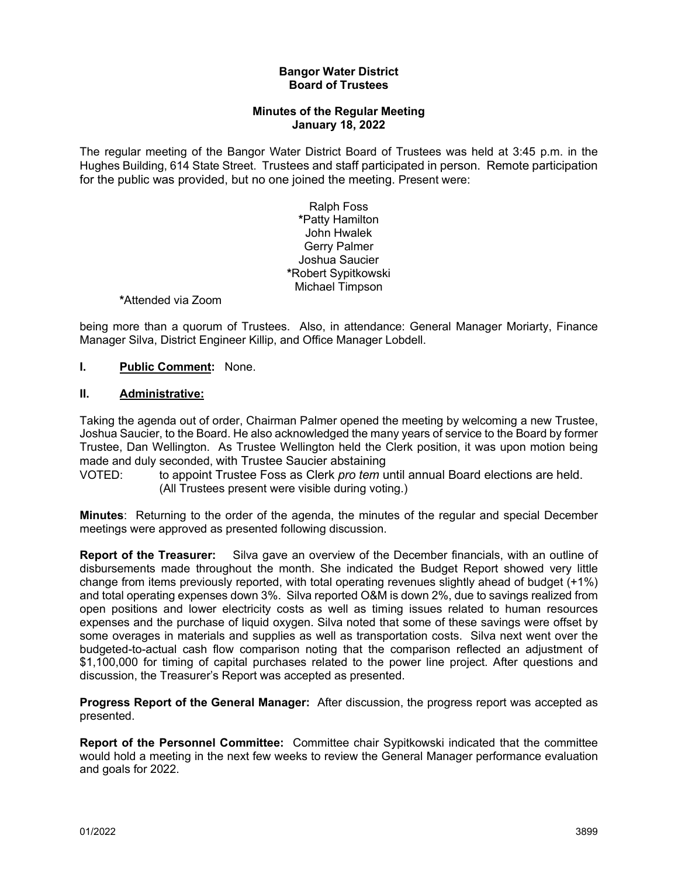#### **Bangor Water District Board of Trustees**

### **Minutes of the Regular Meeting January 18, 2022**

The regular meeting of the Bangor Water District Board of Trustees was held at 3:45 p.m. in the Hughes Building, 614 State Street. Trustees and staff participated in person. Remote participation for the public was provided, but no one joined the meeting. Present were:

> Ralph Foss **\***Patty Hamilton John Hwalek Gerry Palmer Joshua Saucier **\***Robert Sypitkowski Michael Timpson

### **\***Attended via Zoom

being more than a quorum of Trustees. Also, in attendance: General Manager Moriarty, Finance Manager Silva, District Engineer Killip, and Office Manager Lobdell.

### **I. Public Comment:** None.

#### **II. Administrative:**

Taking the agenda out of order, Chairman Palmer opened the meeting by welcoming a new Trustee, Joshua Saucier, to the Board. He also acknowledged the many years of service to the Board by former Trustee, Dan Wellington. As Trustee Wellington held the Clerk position, it was upon motion being made and duly seconded, with Trustee Saucier abstaining

VOTED: to appoint Trustee Foss as Clerk *pro tem* until annual Board elections are held. (All Trustees present were visible during voting.)

**Minutes**: Returning to the order of the agenda, the minutes of the regular and special December meetings were approved as presented following discussion.

**Report of the Treasurer:** Silva gave an overview of the December financials, with an outline of disbursements made throughout the month. She indicated the Budget Report showed very little change from items previously reported, with total operating revenues slightly ahead of budget (+1%) and total operating expenses down 3%. Silva reported O&M is down 2%, due to savings realized from open positions and lower electricity costs as well as timing issues related to human resources expenses and the purchase of liquid oxygen. Silva noted that some of these savings were offset by some overages in materials and supplies as well as transportation costs. Silva next went over the budgeted-to-actual cash flow comparison noting that the comparison reflected an adjustment of \$1,100,000 for timing of capital purchases related to the power line project. After questions and discussion, the Treasurer's Report was accepted as presented.

**Progress Report of the General Manager:** After discussion, the progress report was accepted as presented.

**Report of the Personnel Committee:** Committee chair Sypitkowski indicated that the committee would hold a meeting in the next few weeks to review the General Manager performance evaluation and goals for 2022.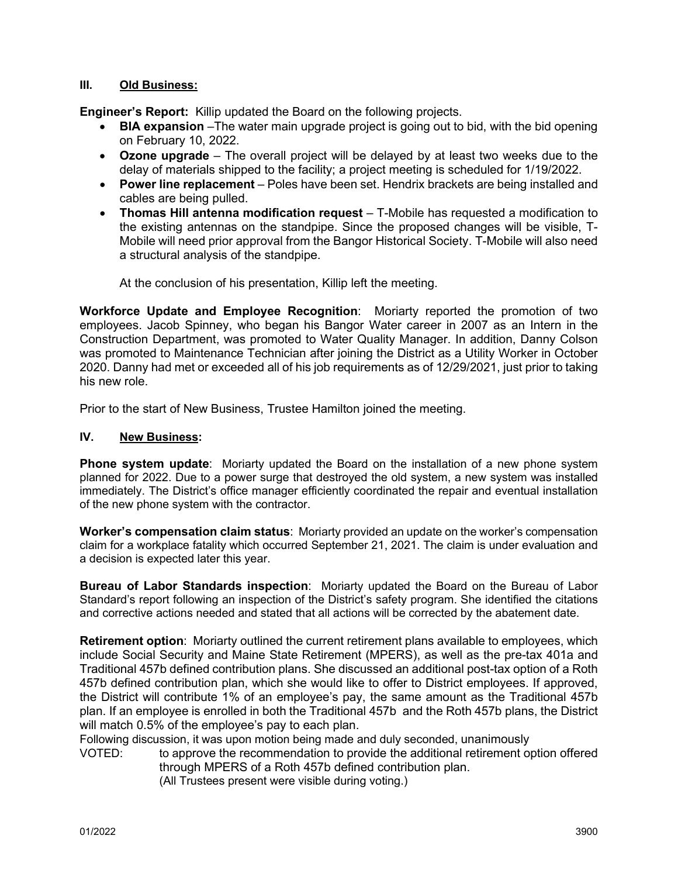# **III. Old Business:**

**Engineer's Report:** Killip updated the Board on the following projects.

- **BIA expansion** –The water main upgrade project is going out to bid, with the bid opening on February 10, 2022.
- **Ozone upgrade** The overall project will be delayed by at least two weeks due to the delay of materials shipped to the facility; a project meeting is scheduled for 1/19/2022.
- **Power line replacement** Poles have been set. Hendrix brackets are being installed and cables are being pulled.
- **Thomas Hill antenna modification request** T-Mobile has requested a modification to the existing antennas on the standpipe. Since the proposed changes will be visible, T-Mobile will need prior approval from the Bangor Historical Society. T-Mobile will also need a structural analysis of the standpipe.

At the conclusion of his presentation, Killip left the meeting.

**Workforce Update and Employee Recognition**: Moriarty reported the promotion of two employees. Jacob Spinney, who began his Bangor Water career in 2007 as an Intern in the Construction Department, was promoted to Water Quality Manager. In addition, Danny Colson was promoted to Maintenance Technician after joining the District as a Utility Worker in October 2020. Danny had met or exceeded all of his job requirements as of 12/29/2021, just prior to taking his new role.

Prior to the start of New Business, Trustee Hamilton joined the meeting.

# **IV. New Business:**

**Phone system update**: Moriarty updated the Board on the installation of a new phone system planned for 2022. Due to a power surge that destroyed the old system, a new system was installed immediately. The District's office manager efficiently coordinated the repair and eventual installation of the new phone system with the contractor.

**Worker's compensation claim status**: Moriarty provided an update on the worker's compensation claim for a workplace fatality which occurred September 21, 2021. The claim is under evaluation and a decision is expected later this year.

**Bureau of Labor Standards inspection**: Moriarty updated the Board on the Bureau of Labor Standard's report following an inspection of the District's safety program. She identified the citations and corrective actions needed and stated that all actions will be corrected by the abatement date.

**Retirement option**: Moriarty outlined the current retirement plans available to employees, which include Social Security and Maine State Retirement (MPERS), as well as the pre-tax 401a and Traditional 457b defined contribution plans. She discussed an additional post-tax option of a Roth 457b defined contribution plan, which she would like to offer to District employees. If approved, the District will contribute 1% of an employee's pay, the same amount as the Traditional 457b plan. If an employee is enrolled in both the Traditional 457b and the Roth 457b plans, the District will match 0.5% of the employee's pay to each plan.

Following discussion, it was upon motion being made and duly seconded, unanimously

VOTED: to approve the recommendation to provide the additional retirement option offered through MPERS of a Roth 457b defined contribution plan.

(All Trustees present were visible during voting.)